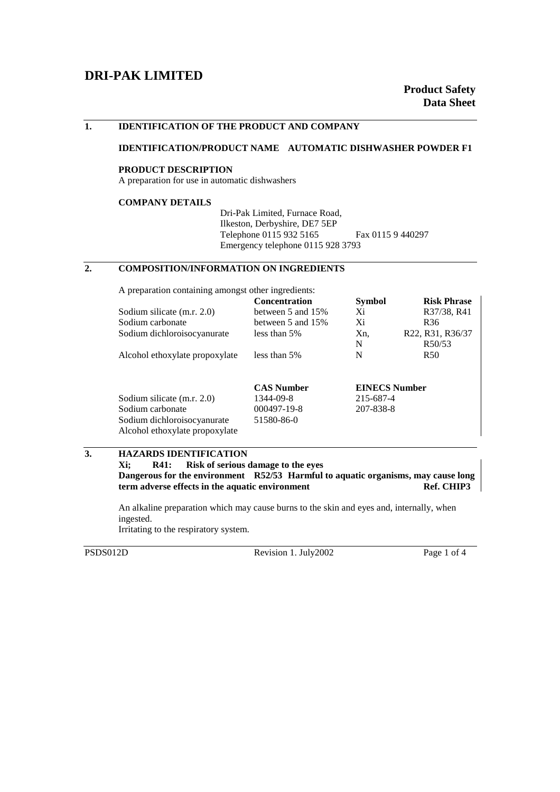# **DRI-PAK LIMITED**

### **1. IDENTIFICATION OF THE PRODUCT AND COMPANY**

#### **IDENTIFICATION/PRODUCT NAME AUTOMATIC DISHWASHER POWDER F1**

#### **PRODUCT DESCRIPTION**

A preparation for use in automatic dishwashers

#### **COMPANY DETAILS**

Dri-Pak Limited, Furnace Road, Ilkeston, Derbyshire, DE7 5EP Telephone 0115 932 5165 Fax 0115 9 440297 Emergency telephone 0115 928 3793

## **2. COMPOSITION/INFORMATION ON INGREDIENTS**

A preparation containing amongst other ingredients:

|                                | <b>Concentration</b> | <b>Symbol</b> | <b>Risk Phrase</b>   |  |
|--------------------------------|----------------------|---------------|----------------------|--|
| Sodium silicate (m.r. 2.0)     | between 5 and 15%    | Xi            | R37/38, R41          |  |
| Sodium carbonate               | between 5 and $15\%$ | Xi            | R <sub>36</sub>      |  |
| Sodium dichloroisocyanurate    | less than 5%         | Xn,           | R22, R31, R36/37     |  |
|                                |                      | N             | R50/53               |  |
| Alcohol ethoxylate propoxylate | less than 5%         | N             | R <sub>50</sub>      |  |
|                                |                      |               |                      |  |
|                                | <b>CAS Number</b>    |               | <b>EINECS Number</b> |  |
| Sodium silicate (m.r. 2.0)     | 1344-09-8            | 215-687-4     |                      |  |
| Sodium carbonate               | 000497-19-8          | 207-838-8     |                      |  |
| Sodium dichloroisocyanurate    | 51580-86-0           |               |                      |  |
| Alcohol ethoxylate propoxylate |                      |               |                      |  |

### **3. HAZARDS IDENTIFICATION**

**Xi; R41: Risk of serious damage to the eyes Dangerous for the environment R52/53 Harmful to aquatic organisms, may cause long term adverse effects in the aquatic environment Ref. CHIP3** 

An alkaline preparation which may cause burns to the skin and eyes and, internally, when ingested.

Irritating to the respiratory system.

PSDS012D Revision 1. July2002 Page 1 of 4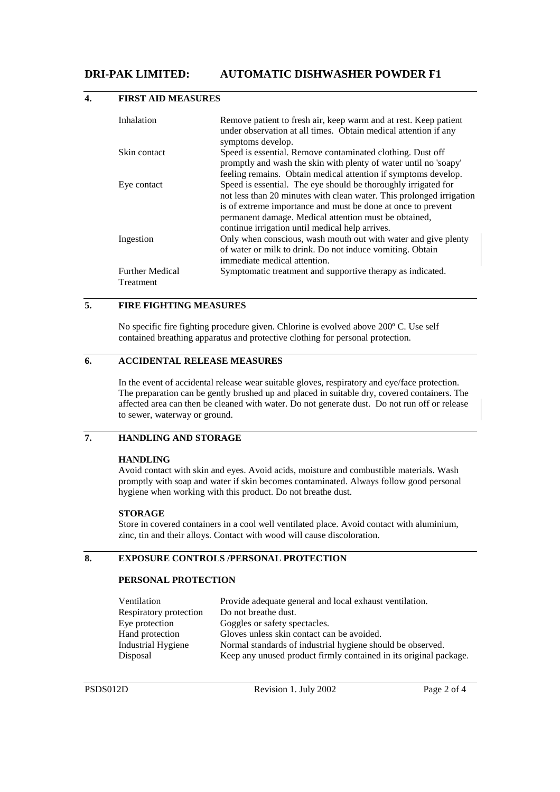# **DRI-PAK LIMITED: AUTOMATIC DISHWASHER POWDER F1**

| Inhalation             | Remove patient to fresh air, keep warm and at rest. Keep patient<br>under observation at all times. Obtain medical attention if any |
|------------------------|-------------------------------------------------------------------------------------------------------------------------------------|
|                        | symptoms develop.                                                                                                                   |
| Skin contact           | Speed is essential. Remove contaminated clothing. Dust off                                                                          |
|                        | promptly and wash the skin with plenty of water until no 'soapy'                                                                    |
|                        | feeling remains. Obtain medical attention if symptoms develop.                                                                      |
| Eye contact            | Speed is essential. The eye should be thoroughly irrigated for                                                                      |
|                        | not less than 20 minutes with clean water. This prolonged irrigation                                                                |
|                        | is of extreme importance and must be done at once to prevent                                                                        |
|                        | permanent damage. Medical attention must be obtained,                                                                               |
|                        | continue irrigation until medical help arrives.                                                                                     |
| Ingestion              | Only when conscious, wash mouth out with water and give plenty                                                                      |
|                        | of water or milk to drink. Do not induce vomiting. Obtain                                                                           |
|                        | immediate medical attention.                                                                                                        |
| <b>Further Medical</b> | Symptomatic treatment and supportive therapy as indicated.                                                                          |
| Treatment              |                                                                                                                                     |

### **4. FIRST AID MEASURES**

## **5. FIRE FIGHTING MEASURES**

No specific fire fighting procedure given. Chlorine is evolved above 200º C. Use self contained breathing apparatus and protective clothing for personal protection.

## **6. ACCIDENTAL RELEASE MEASURES**

In the event of accidental release wear suitable gloves, respiratory and eye/face protection. The preparation can be gently brushed up and placed in suitable dry, covered containers. The affected area can then be cleaned with water. Do not generate dust. Do not run off or release to sewer, waterway or ground.

## **7. HANDLING AND STORAGE**

#### **HANDLING**

Avoid contact with skin and eyes. Avoid acids, moisture and combustible materials. Wash promptly with soap and water if skin becomes contaminated. Always follow good personal hygiene when working with this product. Do not breathe dust.

#### **STORAGE**

Store in covered containers in a cool well ventilated place. Avoid contact with aluminium, zinc, tin and their alloys. Contact with wood will cause discoloration.

### **8. EXPOSURE CONTROLS /PERSONAL PROTECTION**

### **PERSONAL PROTECTION**

| Ventilation            | Provide adequate general and local exhaust ventilation.           |
|------------------------|-------------------------------------------------------------------|
| Respiratory protection | Do not breathe dust.                                              |
| Eye protection         | Goggles or safety spectacles.                                     |
| Hand protection        | Gloves unless skin contact can be avoided.                        |
| Industrial Hygiene     | Normal standards of industrial hygiene should be observed.        |
| Disposal               | Keep any unused product firmly contained in its original package. |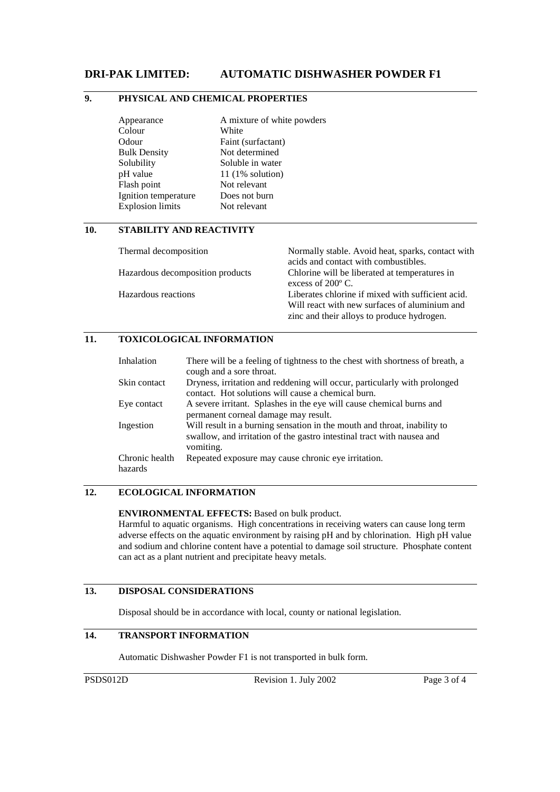## **DRI-PAK LIMITED: AUTOMATIC DISHWASHER POWDER F1**

# **9. PHYSICAL AND CHEMICAL PROPERTIES**

| Appearance              | A mixture of white powders |
|-------------------------|----------------------------|
| Colour                  | White                      |
| Odour                   | Faint (surfactant)         |
| <b>Bulk Density</b>     | Not determined             |
| Solubility              | Soluble in water           |
| pH value                | $11(1\%$ solution)         |
| Flash point             | Not relevant               |
| Ignition temperature    | Does not burn              |
| <b>Explosion limits</b> | Not relevant               |
|                         |                            |

### **10. STABILITY AND REACTIVITY**

| Thermal decomposition            | Normally stable. Avoid heat, sparks, contact with<br>acids and contact with combustibles.                                                        |
|----------------------------------|--------------------------------------------------------------------------------------------------------------------------------------------------|
| Hazardous decomposition products | Chlorine will be liberated at temperatures in<br>excess of $200^{\circ}$ C.                                                                      |
| Hazardous reactions              | Liberates chlorine if mixed with sufficient acid.<br>Will react with new surfaces of aluminium and<br>zinc and their alloys to produce hydrogen. |

### **11. TOXICOLOGICAL INFORMATION**

| Inhalation                | There will be a feeling of tightness to the chest with shortness of breath, a<br>cough and a sore throat.                                                       |
|---------------------------|-----------------------------------------------------------------------------------------------------------------------------------------------------------------|
| Skin contact              | Dryness, irritation and reddening will occur, particularly with prolonged<br>contact. Hot solutions will cause a chemical burn.                                 |
| Eye contact               | A severe irritant. Splashes in the eye will cause chemical burns and<br>permanent corneal damage may result.                                                    |
| Ingestion                 | Will result in a burning sensation in the mouth and throat, inability to<br>swallow, and irritation of the gastro intestinal tract with nausea and<br>vomiting. |
| Chronic health<br>hazards | Repeated exposure may cause chronic eye irritation.                                                                                                             |

## **12. ECOLOGICAL INFORMATION**

**ENVIRONMENTAL EFFECTS:** Based on bulk product.

Harmful to aquatic organisms. High concentrations in receiving waters can cause long term adverse effects on the aquatic environment by raising pH and by chlorination. High pH value and sodium and chlorine content have a potential to damage soil structure. Phosphate content can act as a plant nutrient and precipitate heavy metals.

## **13. DISPOSAL CONSIDERATIONS**

Disposal should be in accordance with local, county or national legislation.

# **14. TRANSPORT INFORMATION**

Automatic Dishwasher Powder F1 is not transported in bulk form.

PSDS012D Revision 1. July 2002 Page 3 of 4